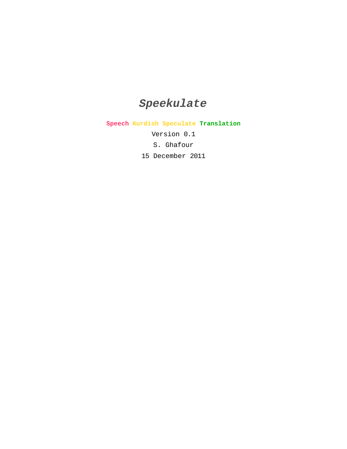# **Speekulate**

**Speech Kurdish Speculate Translation**

Version 0.1

S. Ghafour

15 December 2011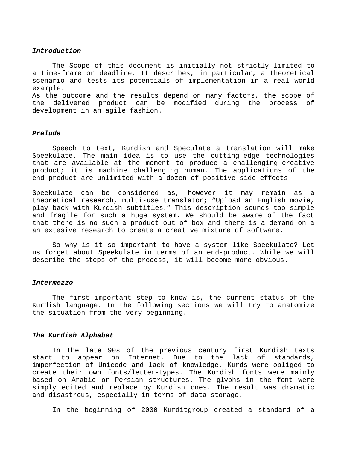# **Introduction**

The Scope of this document is initially not strictly limited to a time-frame or deadline. It describes, in particular, a theoretical scenario and tests its potentials of implementation in a real world example.

As the outcome and the results depend on many factors, the scope of the delivered product can be modified during the process of development in an agile fashion.

#### **Prelude**

Speech to text, Kurdish and Speculate a translation will make Speekulate. The main idea is to use the cutting-edge technologies that are available at the moment to produce a challenging-creative product; it is machine challenging human. The applications of the end-product are unlimited with a dozen of positive side-effects.

Speekulate can be considered as, however it may remain as a theoretical research, multi-use translator; "Upload an English movie, play back with Kurdish subtitles." This description sounds too simple and fragile for such a huge system. We should be aware of the fact that there is no such a product out-of-box and there is a demand on a an extesive research to create a creative mixture of software.

So why is it so important to have a system like Speekulate? Let us forget about Speekulate in terms of an end-product. While we will describe the steps of the process, it will become more obvious.

#### **Intermezzo**

The first important step to know is, the current status of the Kurdish language. In the following sections we will try to anatomize the situation from the very beginning.

### **The Kurdish Alphabet**

In the late 90s of the previous century first Kurdish texts start to appear on Internet. Due to the lack of standards, imperfection of Unicode and lack of knowledge, Kurds were obliged to create their own fonts/letter-types. The Kurdish fonts were mainly based on Arabic or Persian structures. The glyphs in the font were simply edited and replace by Kurdish ones. The result was dramatic and disastrous, especially in terms of data-storage.

In the beginning of 2000 Kurditgroup created a standard of a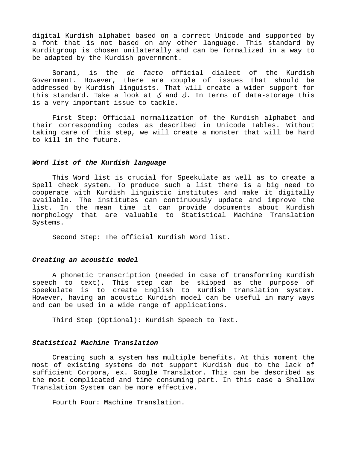digital Kurdish alphabet based on a correct Unicode and supported by a font that is not based on any other language. This standard by Kurditgroup is chosen unilaterally and can be formalized in a way to be adapted by the Kurdish government.

Sorani, is the de facto official dialect of the Kurdish Government. However, there are couple of issues that should be addressed by Kurdish linguists. That will create a wider support for this standard. Take a look at ک and ك. In terms of data-storage this is a very important issue to tackle.

First Step: Official normalization of the Kurdish alphabet and their corresponding codes as described in Unicode Tables. Without taking care of this step, we will create a monster that will be hard to kill in the future.

# **Word list of the Kurdish language**

This Word list is crucial for Speekulate as well as to create a Spell check system. To produce such a list there is a big need to cooperate with Kurdish linguistic institutes and make it digitally available. The institutes can continuously update and improve the list. In the mean time it can provide documents about Kurdish morphology that are valuable to Statistical Machine Translation Systems.

Second Step: The official Kurdish Word list.

# **Creating an acoustic model**

A phonetic transcription (needed in case of transforming Kurdish speech to text). This step can be skipped as the purpose of Speekulate is to create English to Kurdish translation system. However, having an acoustic Kurdish model can be useful in many ways and can be used in a wide range of applications.

Third Step (Optional): Kurdish Speech to Text.

# **Statistical Machine Translation**

Creating such a system has multiple benefits. At this moment the most of existing systems do not support Kurdish due to the lack of sufficient Corpora, ex. Google Translator. This can be described as the most complicated and time consuming part. In this case a Shallow Translation System can be more effective.

Fourth Four: Machine Translation.